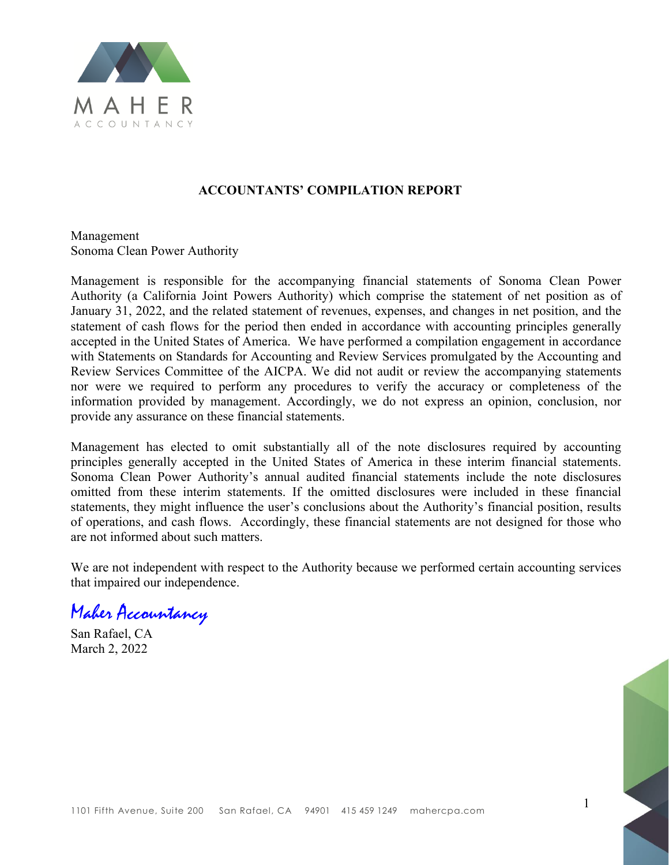

#### **ACCOUNTANTS' COMPILATION REPORT**

Management Sonoma Clean Power Authority

Management is responsible for the accompanying financial statements of Sonoma Clean Power Authority (a California Joint Powers Authority) which comprise the statement of net position as of January 31, 2022, and the related statement of revenues, expenses, and changes in net position, and the statement of cash flows for the period then ended in accordance with accounting principles generally accepted in the United States of America. We have performed a compilation engagement in accordance with Statements on Standards for Accounting and Review Services promulgated by the Accounting and Review Services Committee of the AICPA. We did not audit or review the accompanying statements nor were we required to perform any procedures to verify the accuracy or completeness of the information provided by management. Accordingly, we do not express an opinion, conclusion, nor provide any assurance on these financial statements.

Management has elected to omit substantially all of the note disclosures required by accounting principles generally accepted in the United States of America in these interim financial statements. Sonoma Clean Power Authority's annual audited financial statements include the note disclosures omitted from these interim statements. If the omitted disclosures were included in these financial statements, they might influence the user's conclusions about the Authority's financial position, results of operations, and cash flows. Accordingly, these financial statements are not designed for those who are not informed about such matters.

We are not independent with respect to the Authority because we performed certain accounting services that impaired our independence.

Maher Accountancy

San Rafael, CA March 2, 2022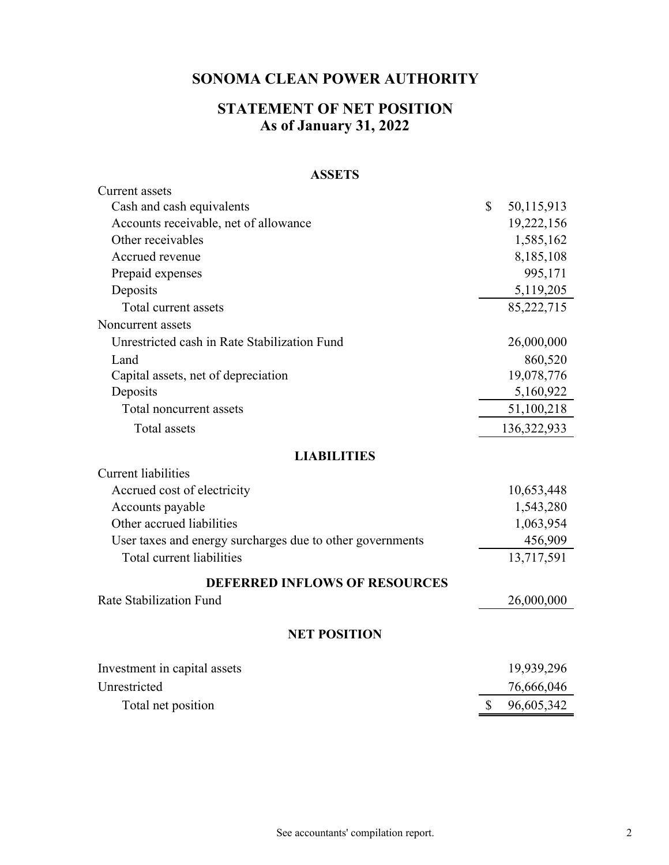# **STATEMENT OF NET POSITION As of January 31, 2022**

#### **ASSETS**

| <b>Current</b> assets                                     |                  |
|-----------------------------------------------------------|------------------|
| Cash and cash equivalents                                 | \$<br>50,115,913 |
| Accounts receivable, net of allowance                     | 19,222,156       |
| Other receivables                                         | 1,585,162        |
| Accrued revenue                                           | 8,185,108        |
| Prepaid expenses                                          | 995,171          |
| Deposits                                                  | 5,119,205        |
| Total current assets                                      | 85,222,715       |
| Noncurrent assets                                         |                  |
| Unrestricted cash in Rate Stabilization Fund              | 26,000,000       |
| Land                                                      | 860,520          |
| Capital assets, net of depreciation                       | 19,078,776       |
| Deposits                                                  | 5,160,922        |
| Total noncurrent assets                                   | 51,100,218       |
| <b>Total</b> assets                                       | 136,322,933      |
| <b>LIABILITIES</b>                                        |                  |
| <b>Current liabilities</b>                                |                  |
| Accrued cost of electricity                               | 10,653,448       |
| Accounts payable                                          | 1,543,280        |
| Other accrued liabilities                                 | 1,063,954        |
| User taxes and energy surcharges due to other governments | 456,909          |
| Total current liabilities                                 | 13,717,591       |
| <b>DEFERRED INFLOWS OF RESOURCES</b>                      |                  |
| Rate Stabilization Fund                                   | 26,000,000       |
| <b>NET POSITION</b>                                       |                  |
| Investment in capital assets                              | 19,939,296       |
| Unrestricted                                              | 76,666,046       |
| Total net position                                        | \$<br>96,605,342 |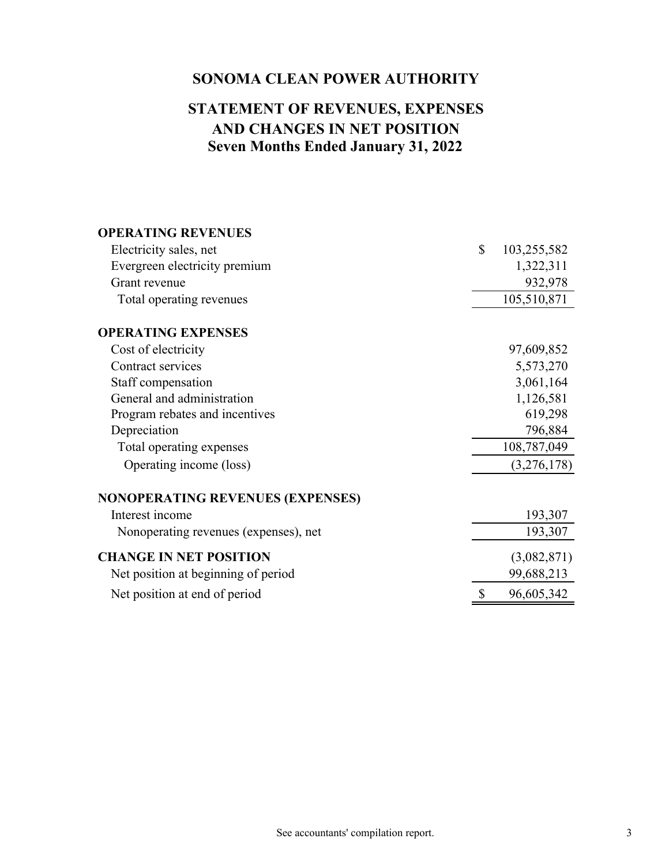# **Seven Months Ended January 31, 2022 AND CHANGES IN NET POSITION STATEMENT OF REVENUES, EXPENSES**

| <b>OPERATING REVENUES</b>               |              |             |
|-----------------------------------------|--------------|-------------|
| Electricity sales, net                  | $\mathbb{S}$ | 103,255,582 |
| Evergreen electricity premium           |              | 1,322,311   |
| Grant revenue                           |              | 932,978     |
| Total operating revenues                |              | 105,510,871 |
| <b>OPERATING EXPENSES</b>               |              |             |
| Cost of electricity                     |              | 97,609,852  |
| Contract services                       |              | 5,573,270   |
| Staff compensation                      |              | 3,061,164   |
| General and administration              |              | 1,126,581   |
| Program rebates and incentives          |              | 619,298     |
| Depreciation                            |              | 796,884     |
| Total operating expenses                |              | 108,787,049 |
| Operating income (loss)                 |              | (3,276,178) |
| <b>NONOPERATING REVENUES (EXPENSES)</b> |              |             |
| Interest income                         |              | 193,307     |
| Nonoperating revenues (expenses), net   |              | 193,307     |
| <b>CHANGE IN NET POSITION</b>           |              | (3,082,871) |
| Net position at beginning of period     |              | 99,688,213  |
| Net position at end of period           | \$           | 96,605,342  |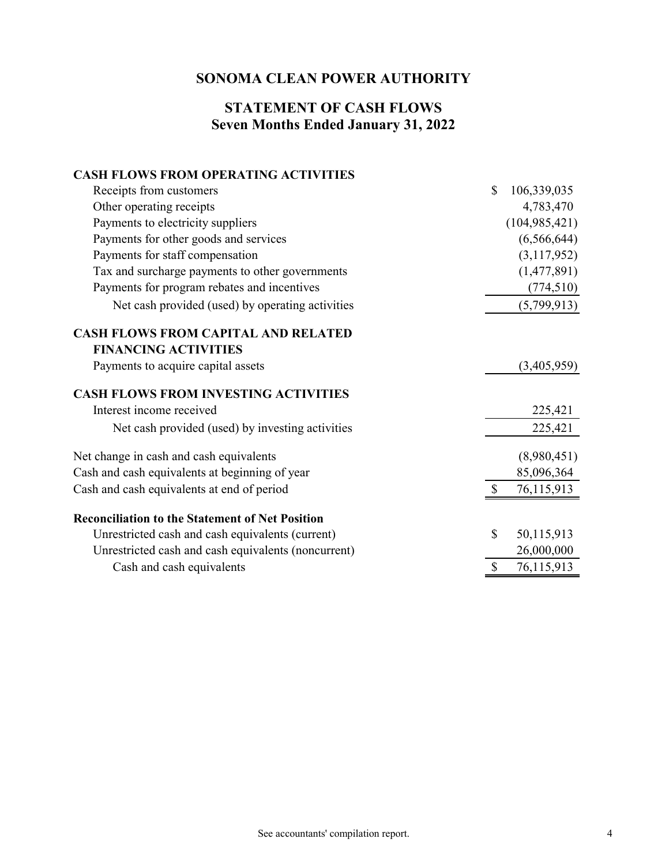#### **Seven Months Ended January 31, 2022 STATEMENT OF CASH FLOWS**

#### **CASH FLOWS FROM OPERATING ACTIVITIES**

| Receipts from customers                                | $\mathbb{S}$ | 106,339,035     |
|--------------------------------------------------------|--------------|-----------------|
| Other operating receipts                               |              | 4,783,470       |
| Payments to electricity suppliers                      |              | (104, 985, 421) |
| Payments for other goods and services                  |              | (6,566,644)     |
| Payments for staff compensation                        |              | (3,117,952)     |
| Tax and surcharge payments to other governments        |              | (1,477,891)     |
| Payments for program rebates and incentives            |              | (774, 510)      |
| Net cash provided (used) by operating activities       |              | (5,799,913)     |
| <b>CASH FLOWS FROM CAPITAL AND RELATED</b>             |              |                 |
| <b>FINANCING ACTIVITIES</b>                            |              |                 |
| Payments to acquire capital assets                     |              | (3,405,959)     |
| <b>CASH FLOWS FROM INVESTING ACTIVITIES</b>            |              |                 |
| Interest income received                               |              | 225,421         |
| Net cash provided (used) by investing activities       |              | 225,421         |
| Net change in cash and cash equivalents                |              | (8,980,451)     |
| Cash and cash equivalents at beginning of year         |              | 85,096,364      |
| Cash and cash equivalents at end of period             |              | 76,115,913      |
| <b>Reconciliation to the Statement of Net Position</b> |              |                 |
| Unrestricted cash and cash equivalents (current)       | \$           | 50,115,913      |
| Unrestricted cash and cash equivalents (noncurrent)    |              | 26,000,000      |
| Cash and cash equivalents                              | \$           | 76,115,913      |